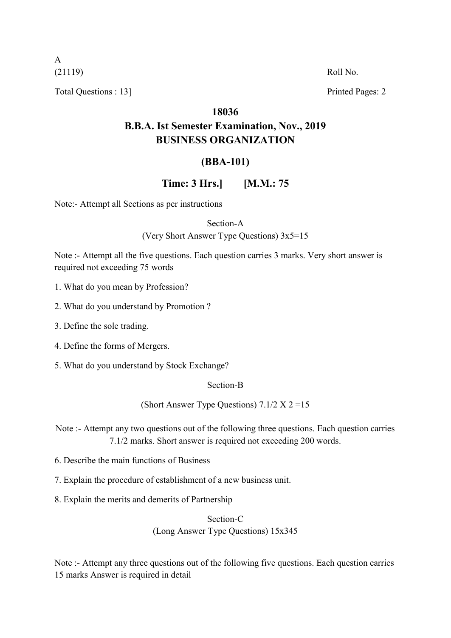A

Total Questions : 13] Printed Pages: 2

(21119) Roll No.

#### **18036**

## **B.B.A. Ist Semester Examination, Nov., 2019 BUSINESS ORGANIZATION**

### **(BBA-101)**

#### **Time: 3 Hrs.] [M.M.: 75**

Note:- Attempt all Sections as per instructions

Section-A

(Very Short Answer Type Questions) 3x5=15

Note :- Attempt all the five questions. Each question carries 3 marks. Very short answer is required not exceeding 75 words

- 1. What do you mean by Profession?
- 2. What do you understand by Promotion ?
- 3. Define the sole trading.
- 4. Define the forms of Mergers.
- 5. What do you understand by Stock Exchange?

#### Section-B

(Short Answer Type Questions)  $7.1/2 \text{ X } 2 = 15$ 

Note :- Attempt any two questions out of the following three questions. Each question carries 7.1/2 marks. Short answer is required not exceeding 200 words.

- 6. Describe the main functions of Business
- 7. Explain the procedure of establishment of a new business unit.
- 8. Explain the merits and demerits of Partnership

#### Section-C (Long Answer Type Questions) 15x345

Note :- Attempt any three questions out of the following five questions. Each question carries 15 marks Answer is required in detail